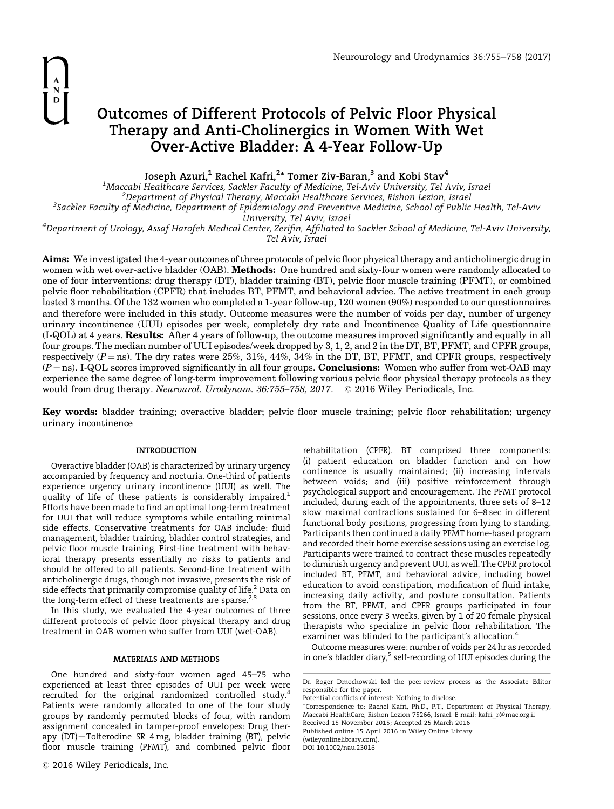# Outcomes of Different Protocols of Pelvic Floor Physical Therapy and Anti-Cholinergics in Women With Wet Over-Active Bladder: A 4-Year Follow-Up

Joseph Azuri, $^1$  Rachel Kafri, $^{2\ast}$  Tomer Ziv-Baran, $^3$  and Kobi Stav $^4$ 

<sup>1</sup>Maccabi Healthcare Services, Sackler Faculty of Medicine, Tel-Aviv University, Tel Aviv, Israel<br><sup>2</sup>Denartment of Physical Therany, Maccabi Healthcare Services, Pishon Lezion, Israel  $^2$ Department of Physical Therapy, Maccabi Healthcare Services, Rishon Lezion, Israel Sackler Faculty of Medicine, Department of Epidemiology and Preventive Medicine, School of Public Health, Tel-Aviv

University, Tel Aviv, Israel<br><sup>4</sup>Department of Urology, Assaf Harofeh Medical Center, Zerifin, Affiliated to Sackler School of Medicine, Tel-Aviv University, Tel Aviv, Israel

Aims: We investigated the 4-year outcomes of three protocols of pelvic floor physical therapy and anticholinergic drug in women with wet over-active bladder (OAB). Methods: One hundred and sixty-four women were randomly allocated to one of four interventions: drug therapy (DT), bladder training (BT), pelvic floor muscle training (PFMT), or combined pelvic floor rehabilitation (CPFR) that includes BT, PFMT, and behavioral advice. The active treatment in each group lasted 3 months. Of the 132 women who completed a 1-year follow-up, 120 women (90%) responded to our questionnaires and therefore were included in this study. Outcome measures were the number of voids per day, number of urgency urinary incontinence (UUI) episodes per week, completely dry rate and Incontinence Quality of Life questionnaire (I-QOL) at 4 years. Results: After 4 years of follow-up, the outcome measures improved significantly and equally in all four groups. The median number of UUI episodes/week dropped by 3, 1, 2, and 2 in the DT, BT, PFMT, and CPFR groups, respectively ( $P = \text{ns}$ ). The dry rates were 25%, 31%, 44%, 34% in the DT, BT, PFMT, and CPFR groups, respectively  $(P = ns)$ . I-QOL scores improved significantly in all four groups. **Conclusions:** Women who suffer from wet-OAB may experience the same degree of long-term improvement following various pelvic floor physical therapy protocols as they would from drug therapy. Neurourol. Urodynam. 36:755–758, 2017.  $\quad \odot$  2016 Wiley Periodicals, Inc.

Key words: bladder training; overactive bladder; pelvic floor muscle training; pelvic floor rehabilitation; urgency urinary incontinence

# INTRODUCTION

Overactive bladder (OAB) is characterized by urinary urgency accompanied by frequency and nocturia. One-third of patients experience urgency urinary incontinence (UUI) as well. The quality of life of these patients is considerably impaired.<sup>1</sup> Efforts have been made to find an optimal long-term treatment for UUI that will reduce symptoms while entailing minimal side effects. Conservative treatments for OAB include: fluid management, bladder training, bladder control strategies, and pelvic floor muscle training. First-line treatment with behavioral therapy presents essentially no risks to patients and should be offered to all patients. Second-line treatment with anticholinergic drugs, though not invasive, presents the risk of side effects that primarily compromise quality of life. $2$  Data on the long-term effect of these treatments are sparse. $2,3$ 

In this study, we evaluated the 4-year outcomes of three different protocols of pelvic floor physical therapy and drug treatment in OAB women who suffer from UUI (wet-OAB).

#### MATERIALS AND METHODS

One hundred and sixty-four women aged 45–75 who experienced at least three episodes of UUI per week were recruited for the original randomized controlled study.<sup>4</sup> Patients were randomly allocated to one of the four study groups by randomly permuted blocks of four, with random assignment concealed in tamper-proof envelopes: Drug therapy (DT)—Tolterodine SR 4 mg, bladder training (BT), pelvic floor muscle training (PFMT), and combined pelvic floor

(i) patient education on bladder function and on how continence is usually maintained; (ii) increasing intervals between voids; and (iii) positive reinforcement through psychological support and encouragement. The PFMT protocol included, during each of the appointments, three sets of 8–12 slow maximal contractions sustained for 6–8 sec in different functional body positions, progressing from lying to standing. Participants then continued a daily PFMT home-based program and recorded their home exercise sessions using an exercise log. Participants were trained to contract these muscles repeatedly to diminish urgency and prevent UUI, as well. The CPFR protocol included BT, PFMT, and behavioral advice, including bowel education to avoid constipation, modification of fluid intake, increasing daily activity, and posture consultation. Patients from the BT, PFMT, and CPFR groups participated in four sessions, once every 3 weeks, given by 1 of 20 female physical therapists who specialize in pelvic floor rehabilitation. The examiner was blinded to the participant's allocation.<sup>4</sup>

rehabilitation (CPFR). BT comprized three components:

Outcome measures were: number of voids per 24 hr as recorded in one's bladder diary,<sup>5</sup> self-recording of UUI episodes during the

Potential conflicts of interest: Nothing to disclose.

Dr. Roger Dmochowski led the peer-review process as the Associate Editor responsible for the paper.

<sup>-</sup>Correspondence to: Rachel Kafri, Ph.D., P.T., Department of Physical Therapy, Maccabi HealthCare, Rishon Lezion 75266, Israel. E-mail: kafri\_r@mac.org.il Received 15 November 2015; Accepted 25 March 2016 Published online 15 April 2016 in Wiley Online Library (wileyonlinelibrary.com). DOI 10.1002/nau.23016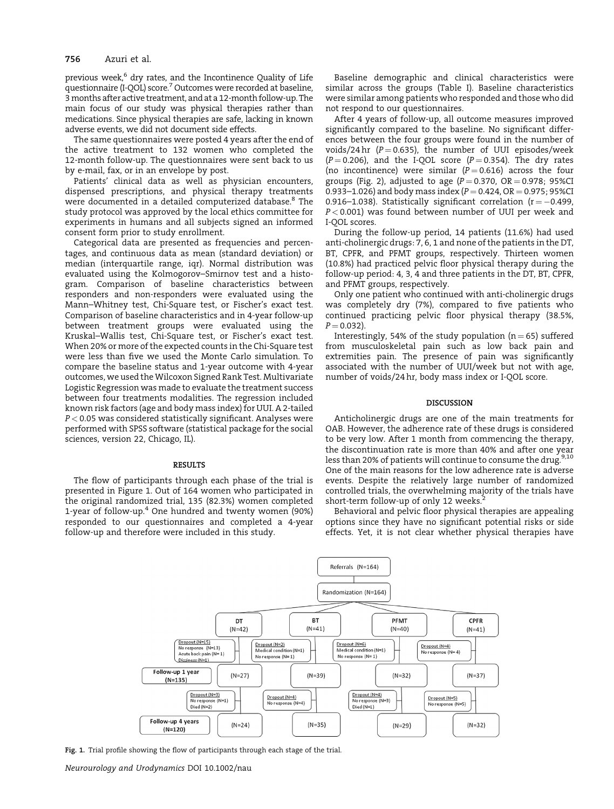# 756 Azuri et al.

previous week,<sup>6</sup> dry rates, and the Incontinence Quality of Life questionnaire (I-QOL) score.<sup>7</sup> Outcomes were recorded at baseline, 3months after active treatment, and at a 12-month follow-up. The main focus of our study was physical therapies rather than medications. Since physical therapies are safe, lacking in known adverse events, we did not document side effects.

The same questionnaires were posted 4 years after the end of the active treatment to 132 women who completed the 12-month follow-up. The questionnaires were sent back to us by e-mail, fax, or in an envelope by post.

Patients' clinical data as well as physician encounters, dispensed prescriptions, and physical therapy treatments were documented in a detailed computerized database.<sup>8</sup> The study protocol was approved by the local ethics committee for experiments in humans and all subjects signed an informed consent form prior to study enrollment.

Categorical data are presented as frequencies and percentages, and continuous data as mean (standard deviation) or median (interquartile range, iqr). Normal distribution was evaluated using the Kolmogorov–Smirnov test and a histogram. Comparison of baseline characteristics between responders and non-responders were evaluated using the Mann–Whitney test, Chi-Square test, or Fischer's exact test. Comparison of baseline characteristics and in 4-year follow-up between treatment groups were evaluated using the Kruskal–Wallis test, Chi-Square test, or Fischer's exact test. When 20% or more of the expected counts in the Chi-Square test were less than five we used the Monte Carlo simulation. To compare the baseline status and 1-year outcome with 4-year outcomes, we used the Wilcoxon Signed Rank Test. Multivariate Logistic Regression was made to evaluate the treatment success between four treatments modalities. The regression included known risk factors (age and body mass index) for UUI. A 2-tailed  $P < 0.05$  was considered statistically significant. Analyses were performed with SPSS software (statistical package for the social sciences, version 22, Chicago, IL).

#### **RESULTS**

The flow of participants through each phase of the trial is presented in Figure 1. Out of 164 women who participated in the original randomized trial, 135 (82.3%) women completed 1-year of follow-up.<sup>4</sup> One hundred and twenty women (90%) responded to our questionnaires and completed a 4-year follow-up and therefore were included in this study.

Baseline demographic and clinical characteristics were similar across the groups (Table I). Baseline characteristics were similar among patients who responded and those who did not respond to our questionnaires.

After 4 years of follow-up, all outcome measures improved significantly compared to the baseline. No significant differences between the four groups were found in the number of voids/24 hr  $(P = 0.635)$ , the number of UUI episodes/week  $(P = 0.206)$ , and the I-QOL score  $(P = 0.354)$ . The dry rates (no incontinence) were similar ( $P = 0.616$ ) across the four groups (Fig. 2), adjusted to age ( $P = 0.370$ ,  $OR = 0.978$ ; 95%CI 0.933–1.026) and body mass index ( $P = 0.424$ , OR  $= 0.975$ ; 95%CI 0.916–1.038). Statistically significant correlation ( $r = -0.499$ ,  $P < 0.001$ ) was found between number of UUI per week and I-QOL scores.

During the follow-up period, 14 patients (11.6%) had used anti-cholinergic drugs: 7, 6, 1 and none of the patients in the DT, BT, CPFR, and PFMT groups, respectively. Thirteen women (10.8%) had practiced pelvic floor physical therapy during the follow-up period: 4, 3, 4 and three patients in the DT, BT, CPFR, and PFMT groups, respectively.

Only one patient who continued with anti-cholinergic drugs was completely dry (7%), compared to five patients who continued practicing pelvic floor physical therapy (38.5%,  $P = 0.032$ ).

Interestingly, 54% of the study population ( $n = 65$ ) suffered from musculoskeletal pain such as low back pain and extremities pain. The presence of pain was significantly associated with the number of UUI/week but not with age, number of voids/24 hr, body mass index or I-QOL score.

#### DISCUSSION

Anticholinergic drugs are one of the main treatments for OAB. However, the adherence rate of these drugs is considered to be very low. After 1 month from commencing the therapy, the discontinuation rate is more than 40% and after one year less than 20% of patients will continue to consume the drug.<sup>9,10</sup> One of the main reasons for the low adherence rate is adverse events. Despite the relatively large number of randomized controlled trials, the overwhelming majority of the trials have short-term follow-up of only 12 weeks.<sup>2</sup>

Behavioral and pelvic floor physical therapies are appealing options since they have no significant potential risks or side effects. Yet, it is not clear whether physical therapies have



Fig. 1. Trial profile showing the flow of participants through each stage of the trial.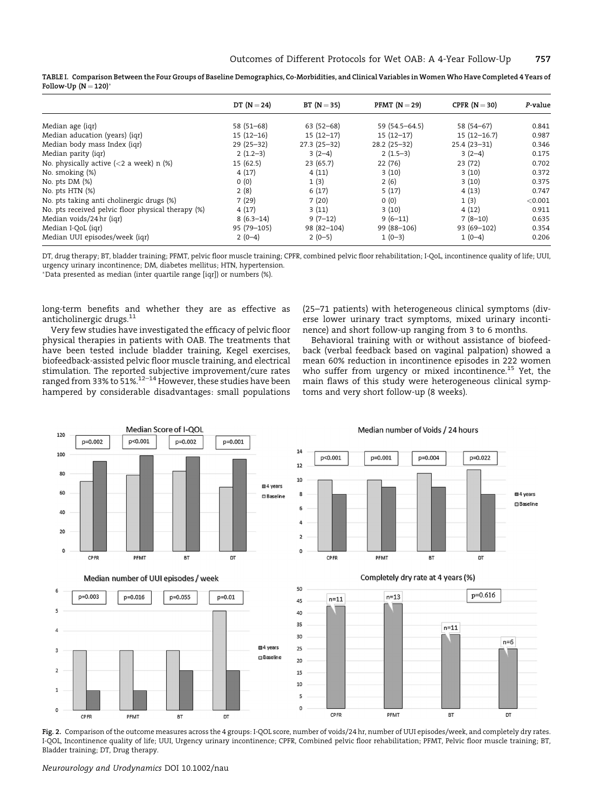|                                                           | DT $(N=24)$ | $BT (N = 35)$ | PFMT $(N=29)$  | CPFR $(N = 30)$ | P-value |
|-----------------------------------------------------------|-------------|---------------|----------------|-----------------|---------|
| Median age (iqr)                                          | $58(51-68)$ | $63(52-68)$   | 59 (54.5-64.5) | 58 (54-67)      | 0.841   |
| Median aducation (years) (igr)                            | $15(12-16)$ | $15(12-17)$   | $15(12-17)$    | $15(12-16.7)$   | 0.987   |
| Median body mass Index (igr)                              | $29(25-32)$ | $27.3(25-32)$ | $28.2(25-32)$  | $25.4(23-31)$   | 0.346   |
| Median parity (igr)                                       | $2(1.2-3)$  | $3(2-4)$      | $2(1.5-3)$     | $3(2-4)$        | 0.175   |
| No. physically active $\langle$ <2 a week) n $\langle$ %) | 15(62.5)    | 23(65.7)      | 22(76)         | 23(72)          | 0.702   |
| No. smoking (%)                                           | 4(17)       | 4(11)         | 3(10)          | 3(10)           | 0.372   |
| No. pts $DM(%)$                                           | 0(0)        | 1(3)          | 2(6)           | 3(10)           | 0.375   |
| No. pts HTN (%)                                           | 2(8)        | 6(17)         | 5(17)          | 4(13)           | 0.747   |
| No. pts taking anti cholinergic drugs (%)                 | 7(29)       | 7(20)         | 0(0)           | 1(3)            | < 0.001 |
| No. pts received pelvic floor physical therapy (%)        | 4(17)       | 3(11)         | 3(10)          | 4(12)           | 0.911   |
| Median voids/24 hr (igr)                                  | $8(6.3-14)$ | $9(7-12)$     | $9(6-11)$      | $7(8-10)$       | 0.635   |
| Median I-QoL (iqr)                                        | 95 (79-105) | 98 (82-104)   | 99 (88-106)    | 93 (69-102)     | 0.354   |
| Median UUI episodes/week (iqr)                            | $2(0-4)$    | $2(0-5)$      | $1(0-3)$       | $1(0-4)$        | 0.206   |

TABLE I. Comparison Between the Four Groups of Baseline Demographics, Co-Morbidities, and Clinical Variables in Women Who Have Completed 4 Years of Follow-Up  $(N = 120)^*$ 

DT, drug therapy; BT, bladder training; PFMT, pelvic floor muscle training; CPFR, combined pelvic floor rehabilitation; I-QoL, incontinence quality of life; UUI, urgency urinary incontinence; DM, diabetes mellitus; HTN, hypertension.

-Data presented as median (inter quartile range [iqr]) or numbers (%).

long-term benefits and whether they are as effective as anticholinergic drugs.<sup>11</sup>

Very few studies have investigated the efficacy of pelvic floor physical therapies in patients with OAB. The treatments that have been tested include bladder training, Kegel exercises, biofeedback-assisted pelvic floor muscle training, and electrical stimulation. The reported subjective improvement/cure rates ranged from 33% to 51%.<sup>12–14</sup> However, these studies have been hampered by considerable disadvantages: small populations

(25–71 patients) with heterogeneous clinical symptoms (diverse lower urinary tract symptoms, mixed urinary incontinence) and short follow-up ranging from 3 to 6 months.

Behavioral training with or without assistance of biofeedback (verbal feedback based on vaginal palpation) showed a mean 60% reduction in incontinence episodes in 222 women who suffer from urgency or mixed incontinence.<sup>15</sup> Yet, the main flaws of this study were heterogeneous clinical symptoms and very short follow-up (8 weeks).



Fig. 2. Comparison of the outcome measures across the 4 groups: I-QOL score, number of voids/24 hr, number of UUI episodes/week, and completely dry rates. I-QOL, Incontinence quality of life; UUI, Urgency urinary incontinence; CPFR, Combined pelvic floor rehabilitation; PFMT, Pelvic floor muscle training; BT, Bladder training; DT, Drug therapy.

Neurourology and Urodynamics DOI 10.1002/nau